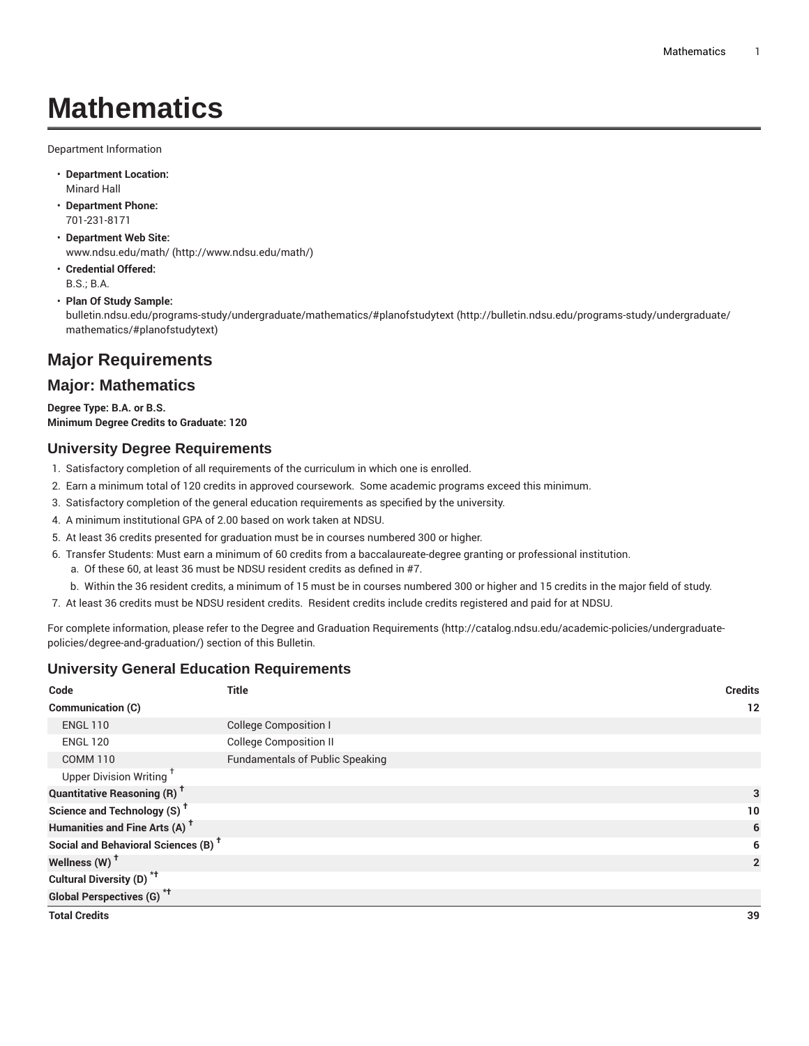# **Mathematics**

Department Information

- **Department Location:** Minard Hall
- **Department Phone:** 701-231-8171
- **Department Web Site:** [www.ndsu.edu/math/](http://www.ndsu.edu/math/) [\(http://www.ndsu.edu/math/\)](http://www.ndsu.edu/math/)
- **Credential Offered:** B.S.; B.A.

#### • **Plan Of Study Sample:**

[bulletin.ndsu.edu/programs-study/undergraduate/mathematics/#planofstudytext \(http://bulletin.ndsu.edu/programs-study/undergraduate/](http://bulletin.ndsu.edu/programs-study/undergraduate/mathematics/#planofstudytext) [mathematics/#planofstudytext](http://bulletin.ndsu.edu/programs-study/undergraduate/mathematics/#planofstudytext))

# **Major Requirements**

## **Major: Mathematics**

**Degree Type: B.A. or B.S. Minimum Degree Credits to Graduate: 120**

#### **University Degree Requirements**

- 1. Satisfactory completion of all requirements of the curriculum in which one is enrolled.
- 2. Earn a minimum total of 120 credits in approved coursework. Some academic programs exceed this minimum.
- 3. Satisfactory completion of the general education requirements as specified by the university.
- 4. A minimum institutional GPA of 2.00 based on work taken at NDSU.
- 5. At least 36 credits presented for graduation must be in courses numbered 300 or higher.
- 6. Transfer Students: Must earn a minimum of 60 credits from a baccalaureate-degree granting or professional institution.
	- a. Of these 60, at least 36 must be NDSU resident credits as defined in #7.
	- b. Within the 36 resident credits, a minimum of 15 must be in courses numbered 300 or higher and 15 credits in the major field of study.
- 7. At least 36 credits must be NDSU resident credits. Resident credits include credits registered and paid for at NDSU.

For complete information, please refer to the Degree and Graduation [Requirements](http://catalog.ndsu.edu/academic-policies/undergraduate-policies/degree-and-graduation/) ([http://catalog.ndsu.edu/academic-policies/undergraduate](http://catalog.ndsu.edu/academic-policies/undergraduate-policies/degree-and-graduation/)[policies/degree-and-graduation/\)](http://catalog.ndsu.edu/academic-policies/undergraduate-policies/degree-and-graduation/) section of this Bulletin.

#### **University General Education Requirements**

| Code                                            | <b>Title</b>                           | <b>Credits</b> |
|-------------------------------------------------|----------------------------------------|----------------|
| Communication (C)                               |                                        | 12             |
| <b>ENGL 110</b>                                 | <b>College Composition I</b>           |                |
| <b>ENGL 120</b>                                 | <b>College Composition II</b>          |                |
| <b>COMM 110</b>                                 | <b>Fundamentals of Public Speaking</b> |                |
| Upper Division Writing <sup>+</sup>             |                                        |                |
| <b>Quantitative Reasoning (R)<sup>†</sup></b>   |                                        | 3              |
| Science and Technology (S) <sup>†</sup>         |                                        | 10             |
| Humanities and Fine Arts (A) <sup>+</sup>       |                                        | 6              |
| Social and Behavioral Sciences (B) <sup>+</sup> |                                        | 6              |
| Wellness $(W)$ <sup>+</sup>                     |                                        | $\overline{2}$ |
| Cultural Diversity (D) <sup>*†</sup>            |                                        |                |
| <b>Global Perspectives (G)<sup>*†</sup></b>     |                                        |                |
| <b>Total Credits</b>                            |                                        | 39             |